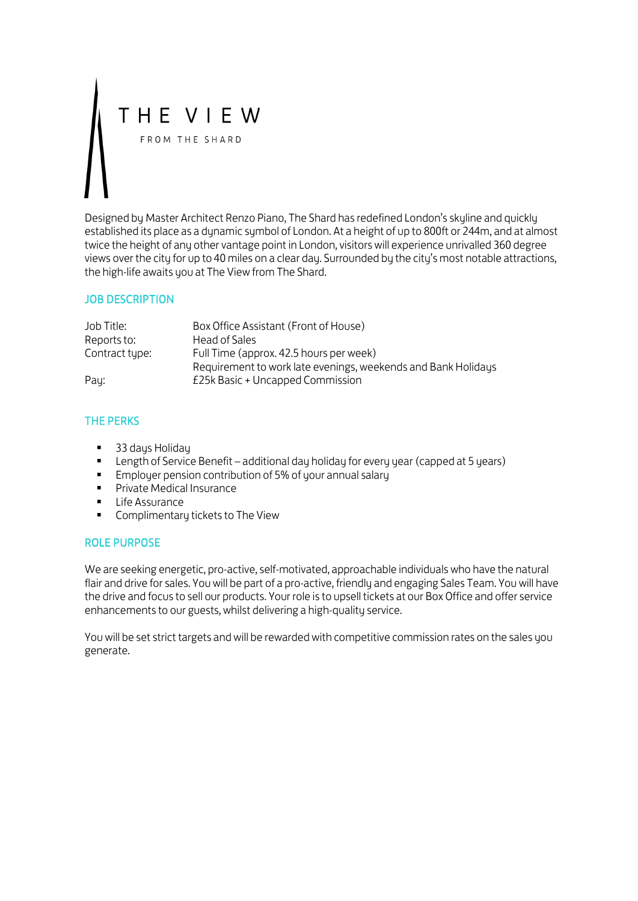# THE VIEW FROM THE SHARD

Designed by Master Architect Renzo Piano, The Shard has redefined London's skyline and quickly established its place as a dynamic symbol of London. At a height of up to 800ft or 244m, and at almost twice the height of any other vantage point in London, visitors will experience unrivalled 360 degree views over the city for up to 40 miles on a clear day. Surrounded by the city's most notable attractions, the high-life awaits you at The View from The Shard.

#### JOB DESCRIPTION

| Job Title:     | Box Office Assistant (Front of House)                         |
|----------------|---------------------------------------------------------------|
| Reports to:    | Head of Sales                                                 |
| Contract type: | Full Time (approx. 42.5 hours per week)                       |
|                | Requirement to work late evenings, weekends and Bank Holidays |
| Pay:           | £25k Basic + Uncapped Commission                              |

## THE PERKS

- 33 days Holiday
- **EXECT** Length of Service Benefit additional day holiday for every year (capped at 5 years)
- **Employer pension contribution of 5% of your annual salary**
- **Private Medical Insurance**
- **Life Assurance**
- **Complimentary tickets to The View**

#### ROLE PURPOSE

We are seeking energetic, pro-active, self-motivated, approachable individuals who have the natural flair and drive for sales. You will be part of a pro-active, friendly and engaging Sales Team. You will have the drive and focus to sell our products. Your role is to upsell tickets at our Box Office and offer service enhancements to our guests, whilst delivering a high-quality service.

You will be set strict targets and will be rewarded with competitive commission rates on the sales you generate.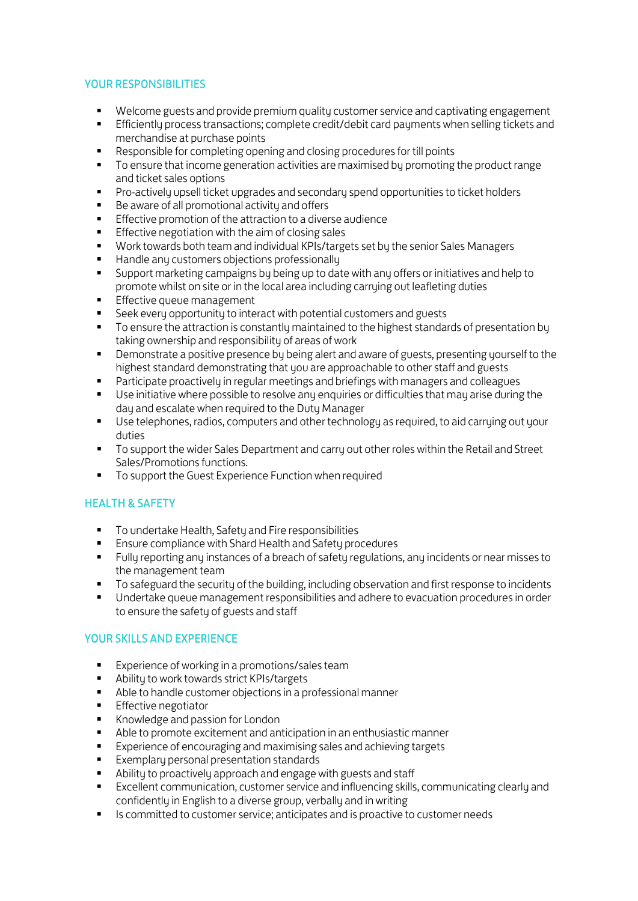### YOUR RESPONSIBILITIES

- Welcome guests and provide premium quality customer service and captivating engagement<br>■ Efficiently process transactions: complete credit/debit card payments when selling tickets and
- Efficiently process transactions; complete credit/debit card payments when selling tickets and merchandise at purchase points
- Responsible for completing opening and closing procedures for till points
- To ensure that income generation activities are maximised by promoting the product range and ticket sales options
- Pro-actively upsell ticket upgrades and secondary spend opportunities to ticket holders<br>Be aware of all promotional activity and offers
- Be aware of all promotional activity and offers
- **Effective promotion of the attraction to a diverse audience**
- **Effective negotiation with the aim of closing sales**
- Work towards both team and individual KPIs/targets set by the senior Sales Managers
- **Handle any customers objections professionally**
- Support marketing campaigns by being up to date with any offers or initiatives and help to promote whilst on site or in the local area including carrying out leafleting duties
- **Effective queue management**
- Seek every opportunity to interact with potential customers and guests
- **T** To ensure the attraction is constantly maintained to the highest standards of presentation by taking ownership and responsibility of areas of work
- **•** Demonstrate a positive presence bu being alert and aware of guests, presenting yourself to the highest standard demonstrating that you are approachable to other staff and guests
- Participate proactively in regular meetings and briefings with managers and colleagues
- Use initiative where possible to resolve any enquiries or difficulties that may arise during the day and escalate when required to the Duty Manager
- Use telephones, radios, computers and other technology as required, to aid carrying out your duties
- **To support the wider Sales Department and carry out other roles within the Retail and Street** Sales/Promotions functions.
- To support the Guest Experience Function when required

## HEALTH & SAFETY

- **To undertake Health, Safety and Fire responsibilities**
- Ensure compliance with Shard Health and Safety procedures
- Fully reporting any instances of a breach of safety regulations, any incidents or near misses to the management team
- To safeguard the security of the building, including observation and first response to incidents
- Undertake queue management responsibilities and adhere to evacuation procedures in order to ensure the safety of guests and staff

#### YOUR SKILLS AND EXPERIENCE

- **Experience of working in a promotions/sales team**
- Ability to work towards strict KPIs/targets
- Able to handle customer objections in a professional manner
- **Effective negotiator**
- Knowledge and passion for London
- Able to promote excitement and anticipation in an enthusiastic manner
- **Experience of encouraging and maximising sales and achieving targets**
- **Exemplary personal presentation standards**
- Ability to proactively approach and engage with guests and staff
- Excellent communication, customer service and influencing skills, communicating clearly and confidently in English to a diverse group, verbally and in writing
- Is committed to customer service; anticipates and is proactive to customer needs